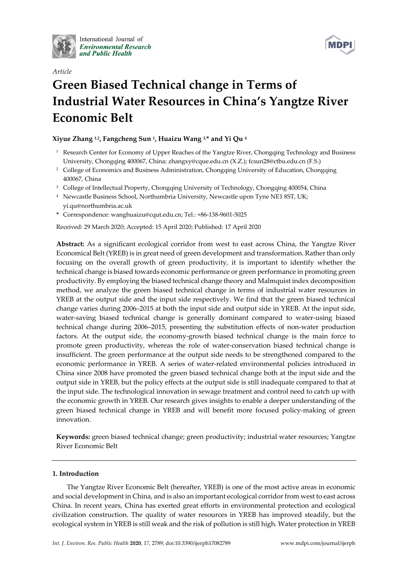

International Journal of **Environmental Research** and Public Health



# *Article*  **Green Biased Technical change in Terms of Industrial Water Resources in China's Yangtze River Economic Belt**

## **Xiyue Zhang 1,2, Fangcheng Sun 1, Huaizu Wang 3,\* and Yi Qu 4**

- <sup>1</sup> Research Center for Economy of Upper Reaches of the Yangtze River, Chongqing Technology and Business University, Chongqing 400067, China; zhangxy@cque.edu.cn (X.Z.); fcsun28@ctbu.edu.cn (F.S.)
- <sup>2</sup> College of Economics and Business Administration, Chongqing University of Education, Chongqing 400067, China
- <sup>3</sup> College of Intellectual Property, Chongqing University of Technology, Chongqing 400054, China
- 4 Newcastle Business School, Northumbria University, Newcastle upon Tyne NE1 8ST, UK; yi.qu@northumbria.ac.uk
- **\*** Correspondence: wanghuaizu@cqut.edu.cn; Tel.: +86-138-9601-5025

Received: 29 March 2020; Accepted: 15 April 2020; Published: 17 April 2020

**Abstract:** As a significant ecological corridor from west to east across China, the Yangtze River Economical Belt (YREB) is in great need of green development and transformation. Rather than only focusing on the overall growth of green productivity, it is important to identify whether the technical change is biased towards economic performance or green performance in promoting green productivity. By employing the biased technical change theory and Malmquist index decomposition method, we analyze the green biased technical change in terms of industrial water resources in YREB at the output side and the input side respectively. We find that the green biased technical change varies during 2006–2015 at both the input side and output side in YREB. At the input side, water-saving biased technical change is generally dominant compared to water-using biased technical change during 2006–2015, presenting the substitution effects of non-water production factors. At the output side, the economy-growth biased technical change is the main force to promote green productivity, whereas the role of water-conservation biased technical change is insufficient. The green performance at the output side needs to be strengthened compared to the economic performance in YREB. A series of water-related environmental policies introduced in China since 2008 have promoted the green biased technical change both at the input side and the output side in YREB, but the policy effects at the output side is still inadequate compared to that at the input side. The technological innovation in sewage treatment and control need to catch up with the economic growth in YREB. Our research gives insights to enable a deeper understanding of the green biased technical change in YREB and will benefit more focused policy-making of green innovation.

**Keywords:** green biased technical change; green productivity; industrial water resources; Yangtze River Economic Belt

## **1. Introduction**

The Yangtze River Economic Belt (hereafter, YREB) is one of the most active areas in economic and social development in China, and is also an important ecological corridor from west to east across China. In recent years, China has exerted great efforts in environmental protection and ecological civilization construction. The quality of water resources in YREB has improved steadily, but the ecological system in YREB is still weak and the risk of pollution is still high. Water protection in YREB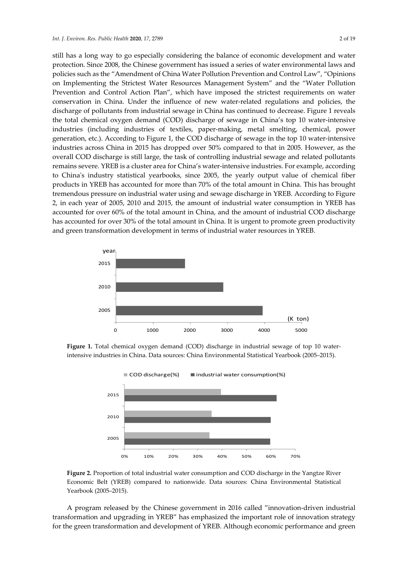still has a long way to go especially considering the balance of economic development and water protection. Since 2008, the Chinese government has issued a series of water environmental laws and policies such as the "Amendment of China Water Pollution Prevention and Control Law", "Opinions on Implementing the Strictest Water Resources Management System" and the "Water Pollution Prevention and Control Action Plan", which have imposed the strictest requirements on water conservation in China. Under the influence of new water-related regulations and policies, the discharge of pollutants from industrial sewage in China has continued to decrease. Figure 1 reveals the total chemical oxygen demand (COD) discharge of sewage in China's top 10 water-intensive industries (including industries of textiles, paper-making, metal smelting, chemical, power generation, etc.). According to Figure 1, the COD discharge of sewage in the top 10 water-intensive industries across China in 2015 has dropped over 50% compared to that in 2005. However, as the overall COD discharge is still large, the task of controlling industrial sewage and related pollutants remains severe. YREB is a cluster area for China's water-intensive industries. For example, according to China's industry statistical yearbooks, since 2005, the yearly output value of chemical fiber products in YREB has accounted for more than 70% of the total amount in China. This has brought tremendous pressure on industrial water using and sewage discharge in YREB. According to Figure 2, in each year of 2005, 2010 and 2015, the amount of industrial water consumption in YREB has accounted for over 60% of the total amount in China, and the amount of industrial COD discharge has accounted for over 30% of the total amount in China. It is urgent to promote green productivity and green transformation development in terms of industrial water resources in YREB.



**Figure 1.** Total chemical oxygen demand (COD) discharge in industrial sewage of top 10 waterintensive industries in China. Data sources: China Environmental Statistical Yearbook (2005–2015).



**Figure 2.** Proportion of total industrial water consumption and COD discharge in the Yangtze River Economic Belt (YREB) compared to nationwide. Data sources: China Environmental Statistical Yearbook (2005–2015).

A program released by the Chinese government in 2016 called "innovation-driven industrial transformation and upgrading in YREB" has emphasized the important role of innovation strategy for the green transformation and development of YREB. Although economic performance and green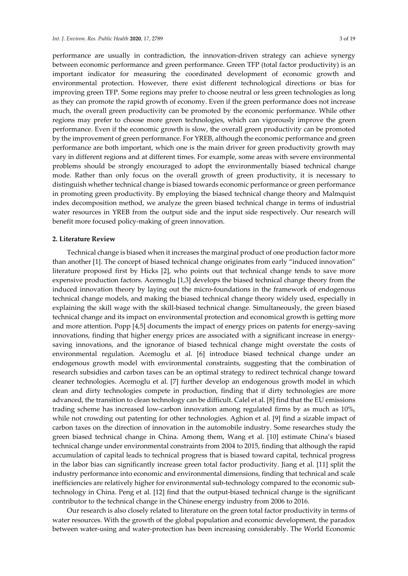performance are usually in contradiction, the innovation-driven strategy can achieve synergy between economic performance and green performance. Green TFP (total factor productivity) is an important indicator for measuring the coordinated development of economic growth and environmental protection. However, there exist different technological directions or bias for improving green TFP. Some regions may prefer to choose neutral or less green technologies as long as they can promote the rapid growth of economy. Even if the green performance does not increase much, the overall green productivity can be promoted by the economic performance. While other regions may prefer to choose more green technologies, which can vigorously improve the green performance. Even if the economic growth is slow, the overall green productivity can be promoted by the improvement of green performance. For YREB, although the economic performance and green performance are both important, which one is the main driver for green productivity growth may vary in different regions and at different times. For example, some areas with severe environmental problems should be strongly encouraged to adopt the environmentally biased technical change mode. Rather than only focus on the overall growth of green productivity, it is necessary to distinguish whether technical change is biased towards economic performance or green performance in promoting green productivity. By employing the biased technical change theory and Malmquist index decomposition method, we analyze the green biased technical change in terms of industrial water resources in YREB from the output side and the input side respectively. Our research will benefit more focused policy-making of green innovation.

## **2. Literature Review**

Technical change is biased when it increases the marginal product of one production factor more than another [1]. The concept of biased technical change originates from early "induced innovation" literature proposed first by Hicks [2], who points out that technical change tends to save more expensive production factors. Acemoglu [1,3] develops the biased technical change theory from the induced innovation theory by laying out the micro-foundations in the framework of endogenous technical change models, and making the biased technical change theory widely used, especially in explaining the skill wage with the skill-biased technical change. Simultaneously, the green biased technical change and its impact on environmental protection and economical growth is getting more and more attention. Popp [4,5] documents the impact of energy prices on patents for energy-saving innovations, finding that higher energy prices are associated with a significant increase in energysaving innovations, and the ignorance of biased technical change might overstate the costs of environmental regulation. Acemoglu et al. [6] introduce biased technical change under an endogenous growth model with environmental constraints, suggesting that the combination of research subsidies and carbon taxes can be an optimal strategy to redirect technical change toward cleaner technologies. Acemoglu et al. [7] further develop an endogenous growth model in which clean and dirty technologies compete in production, finding that if dirty technologies are more advanced, the transition to clean technology can be difficult. Calel et al. [8] find that the EU emissions trading scheme has increased low-carbon innovation among regulated firms by as much as 10%, while not crowding out patenting for other technologies. Aghion et al. [9] find a sizable impact of carbon taxes on the direction of innovation in the automobile industry. Some researches study the green biased technical change in China. Among them, Wang et al. [10] estimate China's biased technical change under environmental constraints from 2004 to 2015, finding that although the rapid accumulation of capital leads to technical progress that is biased toward capital, technical progress in the labor bias can significantly increase green total factor productivity. Jiang et al. [11] split the industry performance into economic and environmental dimensions, finding that technical and scale inefficiencies are relatively higher for environmental sub-technology compared to the economic subtechnology in China. Peng et al. [12] find that the output-biased technical change is the significant contributor to the technical change in the Chinese energy industry from 2006 to 2016.

Our research is also closely related to literature on the green total factor productivity in terms of water resources. With the growth of the global population and economic development, the paradox between water-using and water-protection has been increasing considerably. The World Economic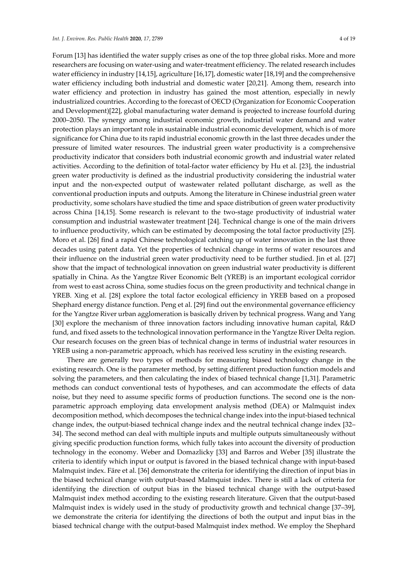Forum [13] has identified the water supply crises as one of the top three global risks. More and more researchers are focusing on water-using and water-treatment efficiency. The related research includes water efficiency in industry [14,15], agriculture [16,17], domestic water [18,19] and the comprehensive water efficiency including both industrial and domestic water [20,21]. Among them, research into water efficiency and protection in industry has gained the most attention, especially in newly industrialized countries. According to the forecast of OECD (Organization for Economic Cooperation and Development)[22], global manufacturing water demand is projected to increase fourfold during 2000–2050. The synergy among industrial economic growth, industrial water demand and water protection plays an important role in sustainable industrial economic development, which is of more significance for China due to its rapid industrial economic growth in the last three decades under the pressure of limited water resources. The industrial green water productivity is a comprehensive productivity indicator that considers both industrial economic growth and industrial water related activities. According to the definition of total-factor water efficiency by Hu et al. [23], the industrial green water productivity is defined as the industrial productivity considering the industrial water input and the non-expected output of wastewater related pollutant discharge, as well as the conventional production inputs and outputs. Among the literature in Chinese industrial green water productivity, some scholars have studied the time and space distribution of green water productivity across China [14,15]. Some research is relevant to the two-stage productivity of industrial water consumption and industrial wastewater treatment [24]. Technical change is one of the main drivers to influence productivity, which can be estimated by decomposing the total factor productivity [25]. Moro et al. [26] find a rapid Chinese technological catching up of water innovation in the last three decades using patent data. Yet the properties of technical change in terms of water resources and their influence on the industrial green water productivity need to be further studied. Jin et al. [27] show that the impact of technological innovation on green industrial water productivity is different spatially in China. As the Yangtze River Economic Belt (YREB) is an important ecological corridor from west to east across China, some studies focus on the green productivity and technical change in YREB. Xing et al. [28] explore the total factor ecological efficiency in YREB based on a proposed Shephard energy distance function. Peng et al. [29] find out the environmental governance efficiency for the Yangtze River urban agglomeration is basically driven by technical progress. Wang and Yang [30] explore the mechanism of three innovation factors including innovative human capital, R&D fund, and fixed assets to the technological innovation performance in the Yangtze River Delta region. Our research focuses on the green bias of technical change in terms of industrial water resources in YREB using a non-parametric approach, which has received less scrutiny in the existing research.

There are generally two types of methods for measuring biased technology change in the existing research. One is the parameter method, by setting different production function models and solving the parameters, and then calculating the index of biased technical change [1,31]. Parametric methods can conduct conventional tests of hypotheses, and can accommodate the effects of data noise, but they need to assume specific forms of production functions. The second one is the nonparametric approach employing data envelopment analysis method (DEA) or Malmquist index decomposition method, which decomposes the technical change index into the input-biased technical change index, the output-biased technical change index and the neutral technical change index [32– 34]. The second method can deal with multiple inputs and multiple outputs simultaneously without giving specific production function forms, which fully takes into account the diversity of production technology in the economy. Weber and Domazlicky [33] and Barros and Weber [35] illustrate the criteria to identify which input or output is favored in the biased technical change with input-based Malmquist index. Färe et al. [36] demonstrate the criteria for identifying the direction of input bias in the biased technical change with output-based Malmquist index. There is still a lack of criteria for identifying the direction of output bias in the biased technical change with the output-based Malmquist index method according to the existing research literature. Given that the output-based Malmquist index is widely used in the study of productivity growth and technical change [37–39], we demonstrate the criteria for identifying the directions of both the output and input bias in the biased technical change with the output-based Malmquist index method. We employ the Shephard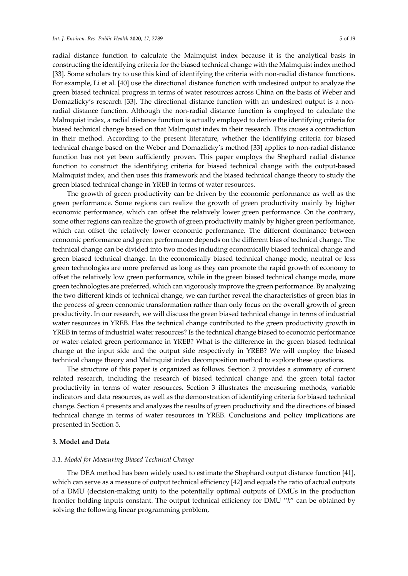radial distance function to calculate the Malmquist index because it is the analytical basis in constructing the identifying criteria for the biased technical change with the Malmquist index method [33]. Some scholars try to use this kind of identifying the criteria with non-radial distance functions. For example, Li et al. [40] use the directional distance function with undesired output to analyze the green biased technical progress in terms of water resources across China on the basis of Weber and Domazlicky's research [33]. The directional distance function with an undesired output is a nonradial distance function. Although the non-radial distance function is employed to calculate the Malmquist index, a radial distance function is actually employed to derive the identifying criteria for biased technical change based on that Malmquist index in their research. This causes a contradiction in their method. According to the present literature, whether the identifying criteria for biased technical change based on the Weber and Domazlicky's method [33] applies to non-radial distance function has not yet been sufficiently proven. This paper employs the Shephard radial distance function to construct the identifying criteria for biased technical change with the output-based Malmquist index, and then uses this framework and the biased technical change theory to study the green biased technical change in YREB in terms of water resources.

The growth of green productivity can be driven by the economic performance as well as the green performance. Some regions can realize the growth of green productivity mainly by higher economic performance, which can offset the relatively lower green performance. On the contrary, some other regions can realize the growth of green productivity mainly by higher green performance, which can offset the relatively lower economic performance. The different dominance between economic performance and green performance depends on the different bias of technical change. The technical change can be divided into two modes including economically biased technical change and green biased technical change. In the economically biased technical change mode, neutral or less green technologies are more preferred as long as they can promote the rapid growth of economy to offset the relatively low green performance, while in the green biased technical change mode, more green technologies are preferred, which can vigorously improve the green performance. By analyzing the two different kinds of technical change, we can further reveal the characteristics of green bias in the process of green economic transformation rather than only focus on the overall growth of green productivity. In our research, we will discuss the green biased technical change in terms of industrial water resources in YREB. Has the technical change contributed to the green productivity growth in YREB in terms of industrial water resources? Is the technical change biased to economic performance or water-related green performance in YREB? What is the difference in the green biased technical change at the input side and the output side respectively in YREB? We will employ the biased technical change theory and Malmquist index decomposition method to explore these questions.

The structure of this paper is organized as follows. Section 2 provides a summary of current related research, including the research of biased technical change and the green total factor productivity in terms of water resources. Section 3 illustrates the measuring methods, variable indicators and data resources, as well as the demonstration of identifying criteria for biased technical change. Section 4 presents and analyzes the results of green productivity and the directions of biased technical change in terms of water resources in YREB. Conclusions and policy implications are presented in Section 5.

## **3. Model and Data**

## *3.1. Model for Measuring Biased Technical Change*

The DEA method has been widely used to estimate the Shephard output distance function [41], which can serve as a measure of output technical efficiency [42] and equals the ratio of actual outputs of a DMU (decision-making unit) to the potentially optimal outputs of DMUs in the production frontier holding inputs constant. The output technical efficiency for DMU ''*k*" can be obtained by solving the following linear programming problem,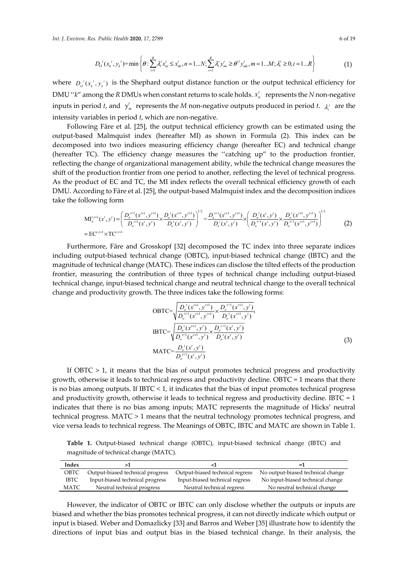$$
D_{o}^{t}(x_{k}^{t}, y_{k}^{t}) = \min \left\{\theta : \sum_{i=1}^{R} \lambda_{i}^{t} x_{ni}^{t} \leq x_{nk}^{t}, n = 1...N; \sum_{i=1}^{R} \lambda_{i}^{t} y_{ni}^{t} \geq \theta^{-1} y_{mk}^{t}, m = 1...M; \lambda_{i}^{t} \geq 0, i = 1...R \right\}
$$
(1)

where  $D_0(x, t, y, t)$  is the Shephard output distance function or the output technical efficiency for DMU " $k$ " among the *R* DMUs when constant returns to scale holds.  $x_n^t$  represents the *N* non-negative inputs in period *t*, and  $y_m^t$  represents the *M* non-negative outputs produced in period *t*.  $\lambda_i^t$  are the intensity variables in period *t*, which are non-negative.

Following Färe et al. [25], the output technical efficiency growth can be estimated using the output-based Malmquist index (hereafter MI) as shown in Formula (2). This index can be decomposed into two indices measuring efficiency change (hereafter EC) and technical change (hereafter TC). The efficiency change measures the ''catching up" to the production frontier, reflecting the change of organizational management ability, while the technical change measures the shift of the production frontier from one period to another, reflecting the level of technical progress. As the product of EC and TC, the MI index reflects the overall technical efficiency growth of each DMU. According to Färe et al. [25], the output-based Malmquist index and the decomposition indices take the following form

$$
\mathrm{MI}_{o}^{t,t+1}(x^{t},y^{t}) = \left(\frac{D_{o}^{t+1}(x^{t+1},y^{t+1})}{D_{o}^{t+1}(x^{t},y^{t})} \times \frac{D_{o}^{t}(x^{t+1},y^{t+1})}{D_{o}^{t}(x^{t},y^{t})}\right)^{1/2} = \frac{D_{o}^{t+1}(x^{t+1},y^{t+1})}{D_{o}^{t}(x^{t},y^{t})} \times \left(\frac{D_{o}^{t}(x^{t},y^{t})}{D_{o}^{t+1}(x^{t},y^{t})} \times \frac{D_{o}^{t}(x^{t+1},y^{t+1})}{D_{o}^{t+1}(x^{t},y^{t})}\right)^{1/2}
$$
\n
$$
= \mathrm{EC}^{t,t+1} \times \mathrm{TC}^{t,t+1}
$$
\n
$$
(2)
$$

Furthermore, Färe and Grosskopf [32] decomposed the TC index into three separate indices including output-biased technical change (OBTC), input-biased technical change (IBTC) and the magnitude of technical change (MATC). These indices can disclose the tilted effects of the production frontier, measuring the contribution of three types of technical change including output-biased technical change, input-biased technical change and neutral technical change to the overall technical change and productivity growth. The three indices take the following forms:

$$
OBTC = \sqrt{\frac{D_o^{t}(x^{t+1}, y^{t+1})}{D_o^{t+1}(x^{t+1}, y^{t+1})}} \times \frac{D_o^{t+1}(x^{t+1}, y^{t})}{D_o^{t}(x^{t+1}, y^{t})},
$$
  
\n
$$
IBTC = \sqrt{\frac{D_o^{t}(x^{t+1}, y^{t})}{D_o^{t+1}(x^{t+1}, y^{t})}} \times \frac{D_o^{t+1}(x^{t}, y^{t})}{D_o^{t}(x^{t}, y^{t})}
$$
  
\n
$$
MATC = \frac{D_o^{t}(x^{t}, y^{t})}{D_o^{t+1}(x^{t}, y^{t})}
$$
\n(3)

If  $OBTC > 1$ , it means that the bias of output promotes technical progress and productivity growth, otherwise it leads to technical regress and productivity decline. OBTC = 1 means that there is no bias among outputs. If IBTC < 1, it indicates that the bias of input promotes technical progress and productivity growth, otherwise it leads to technical regress and productivity decline. IBTC = 1 indicates that there is no bias among inputs; MATC represents the magnitude of Hicks' neutral technical progress. MATC > 1 means that the neutral technology promotes technical progress, and vice versa leads to technical regress. The Meanings of OBTC, IBTC and MATC are shown in Table 1.

**Table 1.** Output-biased technical change (OBTC), input-biased technical change (IBTC) and magnitude of technical change (MATC).

| Index       |                                  |                                 | $=1$                              |
|-------------|----------------------------------|---------------------------------|-----------------------------------|
| OBTC        | Output-biased technical progress | Output-biased technical regress | No output-biased technical change |
| <b>IBTC</b> | Input-biased technical progress  | Input-biased technical regress  | No input-biased technical change  |
| MATC        | Neutral technical progress       | Neutral technical regress       | No neutral technical change       |

However, the indicator of OBTC or IBTC can only disclose whether the outputs or inputs are biased and whether the bias promotes technical progress, it can not directly indicate which output or input is biased. Weber and Domazlicky [33] and Barros and Weber [35] illustrate how to identify the directions of input bias and output bias in the biased technical change. In their analysis, the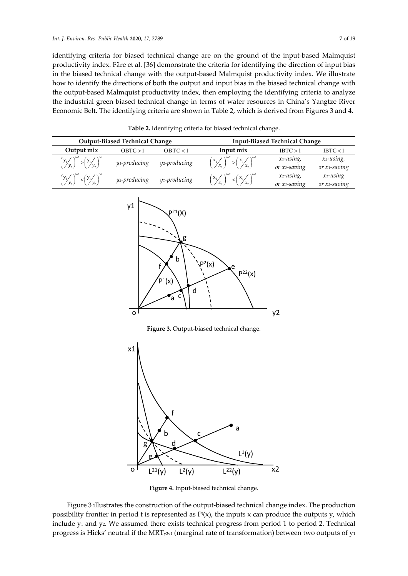identifying criteria for biased technical change are on the ground of the input-based Malmquist productivity index. Färe et al. [36] demonstrate the criteria for identifying the direction of input bias in the biased technical change with the output-based Malmquist productivity index. We illustrate how to identify the directions of both the output and input bias in the biased technical change with the output-based Malmquist productivity index, then employing the identifying criteria to analyze the industrial green biased technical change in terms of water resources in China's Yangtze River Economic Belt. The identifying criteria are shown in Table 2, which is derived from Figures 3 and 4.

|                                                                           | <b>Output-Biased Technical Change</b> |              | <b>Input-Biased Technical Change</b>                                      |                           |                                        |  |  |
|---------------------------------------------------------------------------|---------------------------------------|--------------|---------------------------------------------------------------------------|---------------------------|----------------------------------------|--|--|
| Output mix                                                                | OBTC > 1                              | ORTC < 1     | Input mix                                                                 | IBTC > 1                  | IBTC < 1                               |  |  |
| $\left(y_{1}\right)_{y_{2}}^{y_{2}} > \left(y_{1}\right)_{y_{2}}^{y_{2}}$ | y <sub>1</sub> -producing             | y2-producing | $\left(\frac{x_1}{x_2}\right)^{1/2} > \left(\frac{x_1}{x_2}\right)^{1/2}$ | x1-using,<br>or x2-saving | x <sub>2</sub> -using,<br>or x1-saving |  |  |
| $\left(\frac{y_1}{y_2}\right)^{-1} < \left(\frac{y_1}{y_2}\right)^{-1}$   | y <sub>2</sub> -producing             | y1-producing | $\frac{1}{1} < \left(\frac{x_1}{x_2}\right)^{-1}$                         | x2-using,<br>or x1-saving | $x_1$ -using<br>or x2-saving           |  |  |

**Table 2.** Identifying criteria for biased technical change.



Figure 3. Output-biased technical change.



**Figure 4.** Input-biased technical change.

Figure 3 illustrates the construction of the output-biased technical change index. The production possibility frontier in period t is represented as  $P(x)$ , the inputs x can produce the outputs y, which include  $y_1$  and  $y_2$ . We assumed there exists technical progress from period 1 to period 2. Technical progress is Hicks' neutral if the MRT<sub>y2y1</sub> (marginal rate of transformation) between two outputs of  $y_1$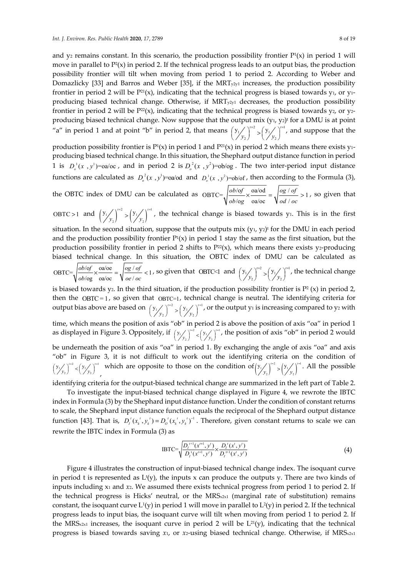and  $y_2$  remains constant. In this scenario, the production possibility frontier  $P<sup>i</sup>(x)$  in period 1 will move in parallel to  $P^2(x)$  in period 2. If the technical progress leads to an output bias, the production possibility frontier will tilt when moving from period 1 to period 2. According to Weber and Domazlicky [33] and Barros and Weber [35], if the  $MRT_{y2y1}$  increases, the production possibility frontier in period 2 will be  $P^{21}(x)$ , indicating that the technical progress is biased towards y<sub>1</sub>, or y<sub>1</sub>producing biased technical change. Otherwise, if  $MRT_{y2y1}$  decreases, the production possibility frontier in period 2 will be  $P^{22}(x)$ , indicating that the technical progress is biased towards  $y_2$ , or  $y_2$ producing biased technical change. Now suppose that the output mix  $(y_1, y_2)$ <sup>t</sup> for a DMU is at point "a" in period 1 and at point "b" in period 2, that means  $\left(y_1 / \int_{-\infty}^{1/2} y_1 / \int_{-\infty}^{1/2}$ 2  $\sqrt{2}$  $y_1 / \int^{t=2} (y_1 / \int^t$  $\left(\frac{y_1}{y_2}\right)^{r=2} > \left(\frac{y_1}{y_2}\right)^{r=1}$ , and suppose that the

production possibility frontier is  $P<sup>1</sup>(x)$  in period 1 and  $P<sup>21</sup>(x)$  in period 2 which means there exists y<sub>1</sub>producing biased technical change. In this situation, the Shephard output distance function in period 1 is  $D_a^1(x, y^1)$ =oa/oc, and in period 2 is  $D_a^2(x, y^2)$ =ob/og. The two inter-period input distance functions are calculated as  $D_o^2(x, y^1)$ =oa/od and  $D_o^1(x, y^2)$ =ob/of, then according to the Formula (3),

the OBTC index of DMU can be calculated as  $OBTC = \frac{obj \cdot of}{j} \times \frac{oa/\text{od}}{j} = \frac{log / of}{j} > 1$  $log$  oa/oc  $Vol$ *ob f og of*  $ob$  /og oa/oc  $\sqrt{od}$  / *od* / *oc*  $x \frac{\sin \theta a}{\cos \theta} = \sqrt{\frac{\cos^2 \theta}{\cos^2 \theta}} > 1$ , so given that

OBTC > 1 and  $\left(y_{1} / \sqrt{\frac{y_{1}}{y_{2}}}\right)^{t=2} > \left(y_{1} / \sqrt{\frac{y_{1}}{y_{2}}}\right)^{t=1}$ 2/  $\sqrt{2}$  $y_1 / \int^{t=2} (y_1 / \int^t$  $y,$   $\frac{1}{y}$  $\frac{1}{2}$  >  $\left(\frac{y}{y}\right)^{t-1}$ , the technical change is biased towards y<sub>1</sub>. This is in the first

situation. In the second situation, suppose that the outputs  $mix(y_1, y_2)$  for the DMU in each period and the production possibility frontier  $P<sup>1</sup>(x)$  in period 1 stay the same as the first situation, but the production possibility frontier in period 2 shifts to  $P^{22}(x)$ , which means there exists y2-producing biased technical change. In this situation, the OBTC index of DMU can be calculated as

$$
\text{OBTC} = \sqrt{\frac{ob/\text{of}}{ob/\text{og}} \times \frac{oa/\text{oe}}{oa/\text{oc}}} = \sqrt{\frac{og/\text{of}}{oe/\text{oc}}} < 1, \text{ so given that } \text{OBTC} < 1 \text{ and } \left(\frac{y_1}{y_2}\right)^{r=2} > \left(\frac{y_1}{y_2}\right)^{r=1}, \text{ the technical change}
$$

is biased towards y<sub>2</sub>. In the third situation, if the production possibility frontier is  $P^2(x)$  in period 2, then the OBTC = 1, so given that OBTC=1, technical change is neutral. The identifying criteria for output bias above are based on  $(y_1 / \n)^{1/2}$ ,  $(y_1 / \n)^{1/2}$ 2  $\sqrt{2}$  $y_1 / \int^{t=2} (y_1 / \int^t$  $\left(\frac{y_1}{y_2}\right)^{n-2} > \left(\frac{y_1}{y_2}\right)^{n-1}$ , or the output y<sub>1</sub> is increasing compared to y<sub>2</sub> with

time, which means the position of axis "ob" in period 2 is above the position of axis "oa" in period 1 as displayed in Figure 3. Oppositely, if  $\left(\frac{y_1}{y_2}\right)^{n=2} < \left(\frac{y_1}{y_2}\right)^{n=2}$  $\left(\frac{y_1}{y_2}\right)^{t=2}$  <  $\left(\frac{y_1}{y_2}\right)^{t=1}$ , the position of axis "ob" in period 2 would be underneath the position of axis "oa" in period 1. By exchanging the angle of axis "oa" and axis "ob" in Figure 3, it is not difficult to work out the identifying criteria on the condition of  $\left(y_1/\sqrt{\frac{r^2}{y_2}}\right)^{r-1}$   $\lt \left(y_1/\sqrt{\frac{r^2}{y_2}}\right)^{r-1}$ . All the possible

 $\left(\frac{y_1}{y_2}\right)^{t=2} < \left(\frac{y_1}{y_2}\right)^{t=1}$ , which are opposite to those on the condition of  $\left(\frac{y_1}{y_2}\right)^{t=2} > \left(\frac{y_1}{y_2}\right)^{t=1}$ 2/  $\sqrt{2}$  $y_1 / \big)^{t=2}$ ,  $(y_1 / \big)^t$ *y*,  $/$   $\frac{1}{y}$  $\left( \sum_{i=1}^{n} |Y_i| \right)^{n-1}$ . All the possible identifying criteria for the output-biased technical change are summarized in the left part of Table 2.

To investigate the input-biased technical change displayed in Figure 4, we rewrote the IBTC index in Formula (3) by the Shephard input distance function. Under the condition of constant returns to scale, the Shephard input distance function equals the reciprocal of the Shephard output distance function [43]. That is,  $D_t^t(x_k^t, y_k^t) = D_0^t(x_k^t, y_k^t)^{-1}$ . Therefore, given constant returns to scale we can rewrite the IBTC index in Formula (3) as

IBTC=
$$
\frac{D_i^{t+1}(x^{t+1}, y')}{D_i^t(x^{t+1}, y')} \times \frac{D_i^t(x^t, y^t)}{D_i^{t+1}(x^t, y^t)}
$$
 (4)

Figure 4 illustrates the construction of input-biased technical change index. The isoquant curve in period t is represented as  $L^{t}(y)$ , the inputs x can produce the outputs y. There are two kinds of inputs including x1 and *x*2. We assumed there exists technical progress from period 1 to period 2. If the technical progress is Hicks' neutral, or the MRS $_{2x1}$  (marginal rate of substitution) remains constant, the isoquant curve  $L^1(y)$  in period 1 will move in parallel to  $L^2(y)$  in period 2. If the technical progress leads to input bias, the isoquant curve will tilt when moving from period 1 to period 2. If the MRS<sub>x2x1</sub> increases, the isoquant curve in period 2 will be  $L^{21}(y)$ , indicating that the technical progress is biased towards saving *x*<sub>1</sub>, or *x*<sub>2</sub>-using biased technical change. Otherwise, if MRS<sub>x</sub><sub>2x1</sub>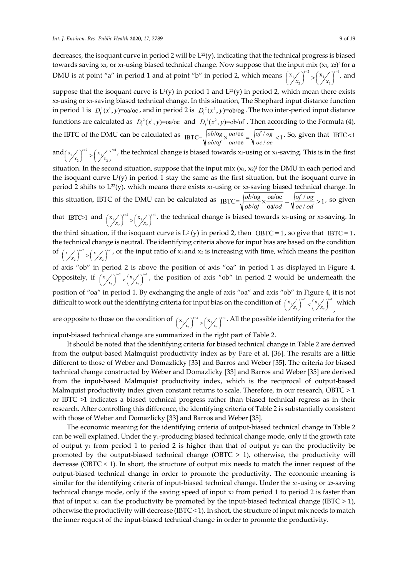decreases, the isoquant curve in period 2 will be  $L^{22}(y)$ , indicating that the technical progress is biased towards saving x<sub>2</sub>, or x<sub>1</sub>-using biased technical change. Now suppose that the input mix (x<sub>1</sub>, x<sub>2</sub>)<sup>*t*</sup> for a DMU is at point "a" in period 1 and at point "b" in period 2, which means  $\left(x_1/\right)^{1/2}$   $\left(x_1/\right)^{1/2}$ 2)  $\sqrt{2}$  $\mathbf{x}_1 / \int_{0}^{t=2} \sqrt{\mathbf{x}_1 / t}$  $\left(\frac{x_1}{x_2}\right)^{r=2} > \left(\frac{x_1}{x_2}\right)^{r=1}$ , and

suppose that the isoquant curve is  $L^1(y)$  in period 1 and  $L^{21}(y)$  in period 2, which mean there exists x2-using or x1-saving biased technical change. In this situation, The Shephard input distance function in period 1 is  $D_1^1(x^1, y) = a/\infty$ , and in period 2 is  $D_1^2(x^2, y) = ab/\infty$ . The two inter-period input distance functions are calculated as  $D_i^2(x^1, y) = 0$  a/oe and  $D_i^1(x^2, y) = 0$  b/of. Then according to the Formula (4), the IBTC of the DMU can be calculated as  $_{IBTC} = \sqrt{\frac{ob/\text{og}}{ob/\text{of}} \times \frac{oa/\text{oc}}{oa/\text{oe}}} = \sqrt{\frac{of/\text{og}}{oc/\text{oe}}} < 1$  $ob \log$  *oa*/oc | *of* / *og*  $\frac{\partial b / \partial g}{\partial b / \partial f} \times \frac{\partial a / \partial c}{\partial a / \partial e} = \sqrt{\frac{\partial f / \partial g}{\partial c / \partial e}} < 1$ . So, given that IBTC < 1

and  $(x_1 / \int_{0}^{t=2} x_1 / \int_{0}^{t=1}$ 2  $\sqrt{1-x_2}$  $\mathbf{x}_1 \diagup \bigwedge^{t=2} \diagdown \left( \mathbf{x}_1 \diagup \bigwedge^t \right)$  $\left(\frac{x}{x_1}\right)^{n-2} > \left(\frac{x_1}{x_2}\right)^{n-1}$ , the technical change is biased towards x2-using or x1-saving. This is in the first

situation. In the second situation, suppose that the input  $mix(x_1, x_2)^t$  for the DMU in each period and the isoquant curve  $L^{1}(y)$  in period 1 stay the same as the first situation, but the isoquant curve in period 2 shifts to  $L^{22}(y)$ , which means there exists x1-using or x2-saving biased technical change. In this situation, IBTC of the DMU can be calculated as  $_{IBTC} = \sqrt{\frac{ob/\log}{ob/\omega}} \times \frac{oa/\omega}{oa/\omega} = \sqrt{\frac{of/\omega g}{oc/\omega d}} > 1$  $ob/\text{og}$  oa/oc  $of/\text{og}$  $\frac{\partial v}{\partial g} \times \frac{\partial a}{\partial g} = \sqrt{\frac{g}{oc}} \frac{\partial g}{\partial g} > 1$ , so given

that IBTC>1 and  $(x_1/\sqrt{1})^{1/2}$   $\left(x_1/\sqrt{1}\right)^{1/2}$ 2)  $\sqrt{12}$  $\mathbf{x}_1 / \int^{t=2} \sqrt{\mathbf{x}_1 / \mathbf{x}_2}$ *x x* = = <sup>&</sup>gt; , the technical change is biased towards x1-using or x2-saving. In

the third situation, if the isoquant curve is  $L^2$  (y) in period 2, then OBTC = 1, so give that IBTC = 1, the technical change is neutral. The identifying criteria above for input bias are based on the condition of  $\left(x_1 / \atop x_2\right)^{i=2} > \left(x_1 / \atop x_2\right)^{i=1}$  $\left(x \frac{x}{x_2}\right)^{1/2} > \left(x \frac{x}{x_2}\right)^{1/2}$ , or the input ratio of x<sub>1</sub> and x<sub>2</sub> is increasing with time, which means the position of axis "ob" in period 2 is above the position of axis "oa" in period 1 as displayed in Figure 4. Oppositely, if  $\left(\frac{x_1}{x_2}\right)^{1/2} < \left(\frac{x_1}{x_2}\right)^{1/2}$  $\left(x/\frac{x}{x_2}\right)^{t-2} < \left(x/\frac{x_1}{x_2}\right)^{t-1}$ , the position of axis "ob" in period 2 would be underneath the

position of "oa" in period 1. By exchanging the angle of axis "oa" and axis "ob" in Figure 4, it is not difficult to work out the identifying criteria for input bias on the condition of  $\binom{x_1}{x_2}^{n^2} < \binom{x_1}{x_2}^{n^2}$  $\left(\frac{x_1}{x_2}\right)^{t=2} < \left(\frac{x_1}{x_2}\right)^{t=1}$ , which

are opposite to those on the condition of  $\left(\frac{x_1}{x_2}\right)^{n=2} > \left(\frac{x_1}{x_2}\right)^{n=1}$  $\left(\frac{x}{x_1}\right)^{t=2}_{x_2} > \left(\frac{x}{x_2}\right)^{t=1}$ . All the possible identifying criteria for the

input-biased technical change are summarized in the right part of Table 2.

It should be noted that the identifying criteria for biased technical change in Table 2 are derived from the output-based Malmquist productivity index as by Fare et al. [36]. The results are a little different to those of Weber and Domazlicky [33] and Barros and Weber [35]. The criteria for biased technical change constructed by Weber and Domazlicky [33] and Barros and Weber [35] are derived from the input-based Malmquist productivity index, which is the reciprocal of output-based Malmquist productivity index given constant returns to scale. Therefore, in our research, OBTC > 1 or IBTC >1 indicates a biased technical progress rather than biased technical regress as in their research. After controlling this difference, the identifying criteria of Table 2 is substantially consistent with those of Weber and Domazlicky [33] and Barros and Weber [35].

The economic meaning for the identifying criteria of output-biased technical change in Table 2 can be well explained. Under the y1-producing biased technical change mode, only if the growth rate of output  $y_1$  from period 1 to period 2 is higher than that of output  $y_2$  can the productivity be promoted by the output-biased technical change (OBTC  $> 1$ ), otherwise, the productivity will decrease (OBTC < 1). In short, the structure of output mix needs to match the inner request of the output-biased technical change in order to promote the productivity. The economic meaning is similar for the identifying criteria of input-biased technical change. Under the x1-using or *x*2-saving technical change mode, only if the saving speed of input x2 from period 1 to period 2 is faster than that of input  $x_1$  can the productivity be promoted by the input-biased technical change (IBTC  $> 1$ ), otherwise the productivity will decrease (IBTC < 1). In short, the structure of input mix needs to match the inner request of the input-biased technical change in order to promote the productivity.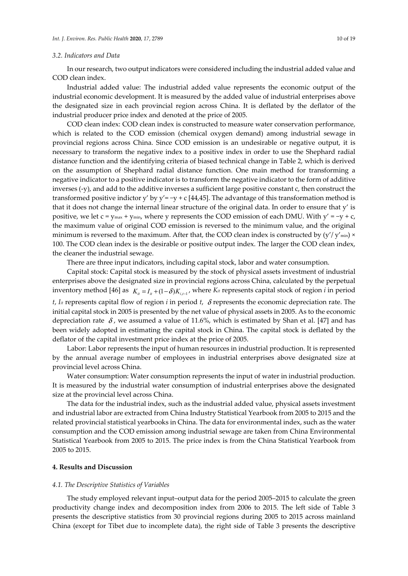## *3.2. Indicators and Data*

In our research, two output indicators were considered including the industrial added value and COD clean index.

Industrial added value: The industrial added value represents the economic output of the industrial economic development. It is measured by the added value of industrial enterprises above the designated size in each provincial region across China. It is deflated by the deflator of the industrial producer price index and denoted at the price of 2005.

COD clean index: COD clean index is constructed to measure water conservation performance, which is related to the COD emission (chemical oxygen demand) among industrial sewage in provincial regions across China. Since COD emission is an undesirable or negative output, it is necessary to transform the negative index to a positive index in order to use the Shephard radial distance function and the identifying criteria of biased technical change in Table 2, which is derived on the assumption of Shephard radial distance function. One main method for transforming a negative indicator to a positive indicator is to transform the negative indicator to the form of additive inverses (-y), and add to the additive inverses a sufficient large positive constant c, then construct the transformed positive indictor y' by y' = -y + c [44,45]. The advantage of this transformation method is that it does not change the internal linear structure of the original data. In order to ensure that y' is positive, we let c =  $v_{\text{max}} + v_{\text{min}}$ , where y represents the COD emission of each DMU. With  $v' = -v + c$ , the maximum value of original COD emission is reversed to the minimum value, and the original minimum is reversed to the maximum. After that, the COD clean index is constructed by  $(y'/y')$ <sub>min</sub>) × 100. The COD clean index is the desirable or positive output index. The larger the COD clean index, the cleaner the industrial sewage.

There are three input indicators, including capital stock, labor and water consumption.

Capital stock: Capital stock is measured by the stock of physical assets investment of industrial enterprises above the designated size in provincial regions across China, calculated by the perpetual inventory method [46] as  $K_{ii} = I_{ii} + (1 - \delta)K_{i,i-1}$ , where  $K_{ii}$  represents capital stock of region *i* in period

*t*, *Iit* represents capital flow of region *i* in period *t*, δ represents the economic depreciation rate. The initial capital stock in 2005 is presented by the net value of physical assets in 2005. As to the economic depreciation rate  $\delta$ , we assumed a value of 11.6%, which is estimated by Shan et al. [47] and has been widely adopted in estimating the capital stock in China. The capital stock is deflated by the deflator of the capital investment price index at the price of 2005.

Labor: Labor represents the input of human resources in industrial production. It is represented by the annual average number of employees in industrial enterprises above designated size at provincial level across China.

Water consumption: Water consumption represents the input of water in industrial production. It is measured by the industrial water consumption of industrial enterprises above the designated size at the provincial level across China.

The data for the industrial index, such as the industrial added value, physical assets investment and industrial labor are extracted from China Industry Statistical Yearbook from 2005 to 2015 and the related provincial statistical yearbooks in China. The data for environmental index, such as the water consumption and the COD emission among industrial sewage are taken from China Environmental Statistical Yearbook from 2005 to 2015. The price index is from the China Statistical Yearbook from 2005 to 2015.

## **4. Results and Discussion**

#### *4.1. The Descriptive Statistics of Variables*

The study employed relevant input–output data for the period 2005–2015 to calculate the green productivity change index and decomposition index from 2006 to 2015. The left side of Table 3 presents the descriptive statistics from 30 provincial regions during 2005 to 2015 across mainland China (except for Tibet due to incomplete data), the right side of Table 3 presents the descriptive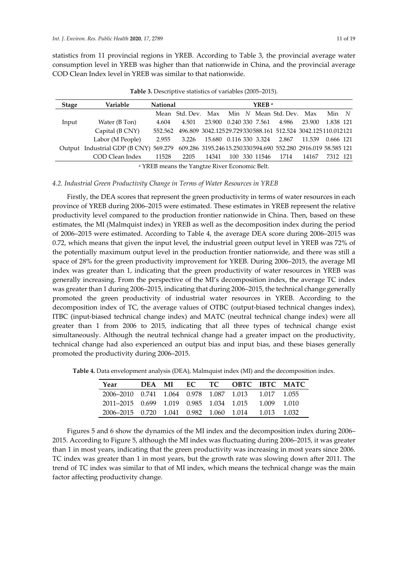statistics from 11 provincial regions in YREB. According to Table 3, the provincial average water consumption level in YREB was higher than that nationwide in China, and the provincial average COD Clean Index level in YREB was similar to that nationwide.

| Stage | Variable                      | <b>National</b> |                                                                      |                                    |  | YREB <sup>a</sup> |                                                             |              |           |  |
|-------|-------------------------------|-----------------|----------------------------------------------------------------------|------------------------------------|--|-------------------|-------------------------------------------------------------|--------------|-----------|--|
|       |                               |                 | Mean Std. Dev. Max Min N Mean Std. Dev. Max Min N                    |                                    |  |                   |                                                             |              |           |  |
| Input | Water (B Ton)                 | 4.604           | 4.501                                                                | 23.900                             |  | 0.240 330 7.561   |                                                             | 4.986 23.900 | 1.838 121 |  |
|       | Capital (B CNY)               | 552.562         |                                                                      |                                    |  |                   | 496.809 3042.12529.729330588.161 512.524 3042.125110.012121 |              |           |  |
|       | Labor (M People)              | 2.955           |                                                                      | 3.226 15.680 0.116 330 3.324 2.867 |  |                   |                                                             | 11.539       | 0.666 121 |  |
|       | Output Industrial GDP (B CNY) |                 | 569.279 609.286 3195.24615.250330594.690 552.280 2916.019 58.585 121 |                                    |  |                   |                                                             |              |           |  |
|       | COD Clean Index               | 11528           | 2205                                                                 | 14341                              |  |                   | 100 330 11546 1714                                          | 14167        | 7312 121  |  |

**Table 3.** Descriptive statistics of variables (2005–2015).

a YREB means the Yangtze River Economic Belt.

### *4.2. Industrial Green Productivity Change in Terms of Water Resources in YREB*

Firstly, the DEA scores that represent the green productivity in terms of water resources in each province of YREB during 2006–2015 were estimated. These estimates in YREB represent the relative productivity level compared to the production frontier nationwide in China. Then, based on these estimates, the MI (Malmquist index) in YREB as well as the decomposition index during the period of 2006–2015 were estimated. According to Table 4, the average DEA score during 2006–2015 was 0.72, which means that given the input level, the industrial green output level in YREB was 72% of the potentially maximum output level in the production frontier nationwide, and there was still a space of 28% for the green productivity improvement for YREB. During 2006–2015, the average MI index was greater than 1, indicating that the green productivity of water resources in YREB was generally increasing. From the perspective of the MI's decomposition index, the average TC index was greater than 1 during 2006–2015, indicating that during 2006–2015, the technical change generally promoted the green productivity of industrial water resources in YREB. According to the decomposition index of TC, the average values of OTBC (output-biased technical changes index), ITBC (input-biased technical change index) and MATC (neutral technical change index) were all greater than 1 from 2006 to 2015, indicating that all three types of technical change exist simultaneously. Although the neutral technical change had a greater impact on the productivity, technical change had also experienced an output bias and input bias, and these biases generally promoted the productivity during 2006–2015.

**Table 4.** Data envelopment analysis (DEA), Malmquist index (MI) and the decomposition index.

| Year                                                | DEA MI |  |  |             | EC TC OBTC IBTC MATC |
|-----------------------------------------------------|--------|--|--|-------------|----------------------|
| 2006–2010 0.741 1.064 0.978 1.087 1.013 1.017 1.055 |        |  |  |             |                      |
| 2011–2015 0.699 1.019 0.985 1.034 1.015             |        |  |  | 1 009 1 010 |                      |
| 2006–2015 0.720 1.041 0.982 1.060 1.014 1.013 1.032 |        |  |  |             |                      |

Figures 5 and 6 show the dynamics of the MI index and the decomposition index during 2006– 2015. According to Figure 5, although the MI index was fluctuating during 2006–2015, it was greater than 1 in most years, indicating that the green productivity was increasing in most years since 2006. TC index was greater than 1 in most years, but the growth rate was slowing down after 2011. The trend of TC index was similar to that of MI index, which means the technical change was the main factor affecting productivity change.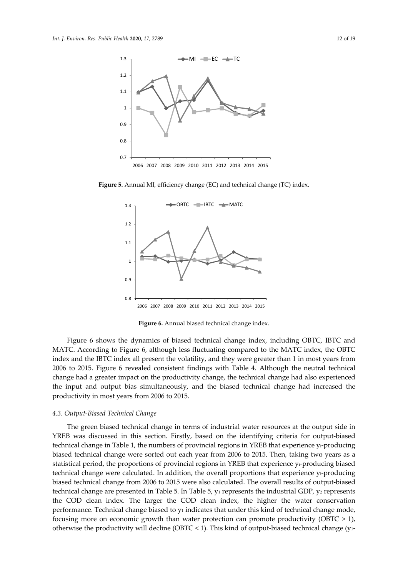

**Figure 5.** Annual MI, efficiency change (EC) and technical change (TC) index.



**Figure 6.** Annual biased technical change index.

Figure 6 shows the dynamics of biased technical change index, including OBTC, IBTC and MATC. According to Figure 6, although less fluctuating compared to the MATC index, the OBTC index and the IBTC index all present the volatility, and they were greater than 1 in most years from 2006 to 2015. Figure 6 revealed consistent findings with Table 4. Although the neutral technical change had a greater impact on the productivity change, the technical change had also experienced the input and output bias simultaneously, and the biased technical change had increased the productivity in most years from 2006 to 2015.

#### *4.3. Output-Biased Technical Change*

The green biased technical change in terms of industrial water resources at the output side in YREB was discussed in this section. Firstly, based on the identifying criteria for output-biased technical change in Table 1, the numbers of provincial regions in YREB that experience yi-producing biased technical change were sorted out each year from 2006 to 2015. Then, taking two years as a statistical period, the proportions of provincial regions in YREB that experience yi-producing biased technical change were calculated. In addition, the overall proportions that experience yi-producing biased technical change from 2006 to 2015 were also calculated. The overall results of output-biased technical change are presented in Table 5. In Table 5,  $y_1$  represents the industrial GDP,  $y_2$  represents the COD clean index. The larger the COD clean index, the higher the water conservation performance. Technical change biased to  $y_1$  indicates that under this kind of technical change mode, focusing more on economic growth than water protection can promote productivity (OBTC  $> 1$ ), otherwise the productivity will decline (OBTC < 1). This kind of output-biased technical change ( $y_1$ -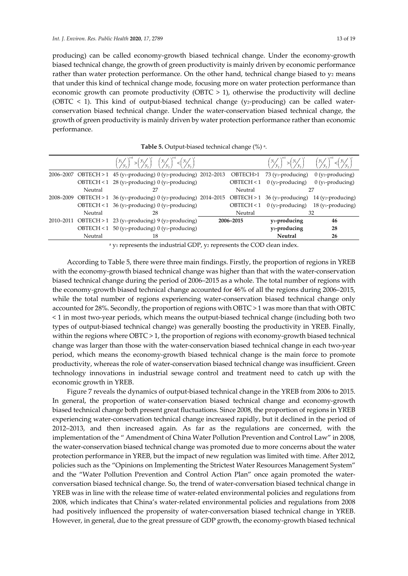producing) can be called economy-growth biased technical change. Under the economy-growth biased technical change, the growth of green productivity is mainly driven by economic performance rather than water protection performance. On the other hand, technical change biased to  $y_2$  means that under this kind of technical change mode, focusing more on water protection performance than economic growth can promote productivity (OBTC  $> 1$ ), otherwise the productivity will decline (OBTC  $\leq$  1). This kind of output-biased technical change (y<sub>2</sub>-producing) can be called waterconservation biased technical change. Under the water-conservation biased technical change, the growth of green productivity is mainly driven by water protection performance rather than economic performance.

|         | $\left(\frac{y_1}{y_2}\right)^{n} > \left(\frac{y_1}{y_2}\right)^{n} \left(\frac{y_1}{y_2}\right)^{n} < \left(\frac{y_1}{y_2}\right)^{n}$ |            |                                             | $\left(\frac{y_1}{y_2}\right)^{n_1} > \left(\frac{y_1}{y_2}\right)^{n_2} \qquad \left(\frac{y_1}{y_2}\right)^{n_1} < \left(\frac{y_1}{y_2}\right)^{n_2}$ |
|---------|-------------------------------------------------------------------------------------------------------------------------------------------|------------|---------------------------------------------|----------------------------------------------------------------------------------------------------------------------------------------------------------|
|         | 2006–2007 OBTECH > 1 45 (y <sub>1</sub> -producing) 0 (y <sub>2</sub> -producing) 2012–2013                                               | OBTECH>1   | 73 (y <sub>1</sub> -producing)              | $0$ (y <sub>2</sub> -producing)                                                                                                                          |
|         | OBTECH < $1\,$ 28 (y <sub>2</sub> -producing) 0 (y <sub>1</sub> -producing)                                                               | OBTECH < 1 | $0$ (y <sub>2</sub> -producing)             | $0$ (y <sub>1</sub> -producing)                                                                                                                          |
| Neutral | 27                                                                                                                                        | Neutral    |                                             | 27                                                                                                                                                       |
|         | 2008–2009 OBTECH > 1 36 (y <sub>1</sub> -producing) 0 (y <sub>2</sub> -producing) 2014–2015                                               |            | $OBTECH > 1$ 36 (y <sub>1</sub> -producing) | 14 (y <sub>2</sub> -producing)                                                                                                                           |
|         | OBTECH < $1\,$ 36 (y <sub>2</sub> -producing) 0 (y <sub>1</sub> -producing)                                                               | OBTECH < 1 |                                             | $0$ (y <sub>2</sub> -producing) 18 (y <sub>1</sub> -producing)                                                                                           |
| Neutral | 28                                                                                                                                        | Neutral    |                                             | 32                                                                                                                                                       |
|         | 2010-2011 OBTECH > 1 23 (y1-producing) 9 (y2-producing)                                                                                   | 2006-2015  | y <sub>1</sub> -producing                   | 46                                                                                                                                                       |
|         | OBTECH < $1\quad 50$ (y <sub>2</sub> -producing) 0 (y <sub>1</sub> -producing)                                                            |            | y <sub>2</sub> -producing                   | 28                                                                                                                                                       |
| Neutral | 18                                                                                                                                        |            | <b>Neutral</b>                              | 26                                                                                                                                                       |
|         |                                                                                                                                           |            |                                             |                                                                                                                                                          |

| Table 5. Output-biased technical change (%) a. |  |  |  |
|------------------------------------------------|--|--|--|
|------------------------------------------------|--|--|--|

 $a$  y<sub>1</sub> represents the industrial GDP, y<sub>2</sub> represents the COD clean index.

According to Table 5, there were three main findings. Firstly, the proportion of regions in YREB with the economy-growth biased technical change was higher than that with the water-conservation biased technical change during the period of 2006–2015 as a whole. The total number of regions with the economy-growth biased technical change accounted for 46% of all the regions during 2006–2015, while the total number of regions experiencing water-conservation biased technical change only accounted for 28%. Secondly, the proportion of regions with OBTC > 1 was more than that with OBTC < 1 in most two-year periods, which means the output-biased technical change (including both two types of output-biased technical change) was generally boosting the productivity in YREB. Finally, within the regions where OBTC > 1, the proportion of regions with economy-growth biased technical change was larger than those with the water-conservation biased technical change in each two-year period, which means the economy-growth biased technical change is the main force to promote productivity, whereas the role of water-conservation biased technical change was insufficient. Green technology innovations in industrial sewage control and treatment need to catch up with the economic growth in YREB.

Figure 7 reveals the dynamics of output-biased technical change in the YREB from 2006 to 2015. In general, the proportion of water-conservation biased technical change and economy-growth biased technical change both present great fluctuations. Since 2008, the proportion of regions in YREB experiencing water-conservation technical change increased rapidly, but it declined in the period of 2012–2013, and then increased again. As far as the regulations are concerned, with the implementation of the " Amendment of China Water Pollution Prevention and Control Law" in 2008, the water-conservation biased technical change was promoted due to more concerns about the water protection performance in YREB, but the impact of new regulation was limited with time. After 2012, policies such as the "Opinions on Implementing the Strictest Water Resources Management System" and the "Water Pollution Prevention and Control Action Plan" once again promoted the waterconversation biased technical change. So, the trend of water-conversation biased technical change in YREB was in line with the release time of water-related environmental policies and regulations from 2008, which indicates that China's water-related environmental policies and regulations from 2008 had positively influenced the propensity of water-conversation biased technical change in YREB. However, in general, due to the great pressure of GDP growth, the economy-growth biased technical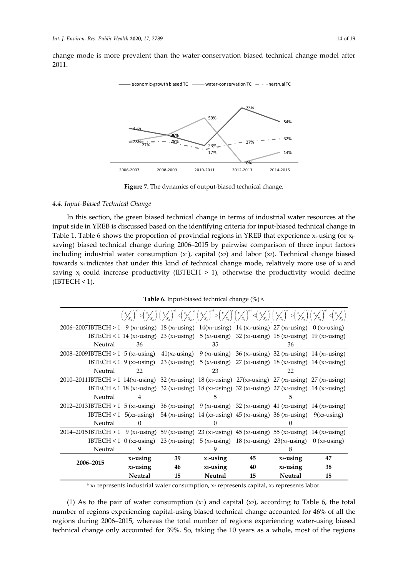change mode is more prevalent than the water-conservation biased technical change model after 2011.



**Figure 7.** The dynamics of output-biased technical change*.*

## *4.4. Input-Biased Technical Change*

In this section, the green biased technical change in terms of industrial water resources at the input side in YREB is discussed based on the identifying criteria for input-biased technical change in Table 1. Table 6 shows the proportion of provincial regions in YREB that experience  $x_i$ -using (or  $x_i$ saving) biased technical change during 2006–2015 by pairwise comparison of three input factors including industrial water consumption (x1), capital (x2) and labor (x3). Technical change biased towards xi indicates that under this kind of technical change mode, relatively more use of xi and saving  $x_j$  could increase productivity (IBTECH  $> 1$ ), otherwise the productivity would decline  $(IBTECH < 1)$ .

| <b>Table 6.</b> Input-biased technical change $(\%)$ a. |  |  |  |
|---------------------------------------------------------|--|--|--|
|---------------------------------------------------------|--|--|--|

|                                                                                                                                                                                    |                |    |                |    | $\binom{x}{X}^{n!} > \binom{x}{X}^{n!} \binom{x}{X}^{n!} < \binom{x}{X}^{n!} < \binom{x}{X}^{n!} \binom{x}{X}^{n!} > \binom{x}{X}^{n!} \binom{x}{X}^{n!} < \binom{x}{X}^{n!} < \binom{x}{X}^{n!} < \binom{x}{X}^{n!} > \binom{x}{X}^{n!} > \binom{x}{X}^{n!} > \binom{x}{X}^{n!} < \binom{x}{X}^{n!} < \binom{x}{X}^{n!}$ |    |
|------------------------------------------------------------------------------------------------------------------------------------------------------------------------------------|----------------|----|----------------|----|---------------------------------------------------------------------------------------------------------------------------------------------------------------------------------------------------------------------------------------------------------------------------------------------------------------------------|----|
| 2006–2007IBTECH > 1 9 (x1-using) 18 (x2-using) 14 (x1-using) 14 (x3-using) 27 (x2-using) 0 (x3-using)                                                                              |                |    |                |    |                                                                                                                                                                                                                                                                                                                           |    |
|                                                                                                                                                                                    |                |    |                |    | IBTECH < 1 14 (x2-using) 23 (x1-using) 5 (x3-using) 32 (x1-using) 18 (x3-using) 19 (x2-using)                                                                                                                                                                                                                             |    |
| Neutral                                                                                                                                                                            | 36             |    | 35             |    | 36                                                                                                                                                                                                                                                                                                                        |    |
| 2008–2009IBTECH > 1 5 (x <sub>1</sub> -using) 41(x <sub>2</sub> -using) 9 (x <sub>1</sub> -using) 36 (x <sub>3</sub> -using) 32 (x <sub>2</sub> -using) 14 (x <sub>3</sub> -using) |                |    |                |    |                                                                                                                                                                                                                                                                                                                           |    |
|                                                                                                                                                                                    |                |    |                |    | IBTECH < 1 9 (x2-using) 23 (x1-using) 5 (x3-using) 27 (x1-using) 18 (x3-using) 14 (x2-using)                                                                                                                                                                                                                              |    |
| Neutral                                                                                                                                                                            | 22             |    | 23             |    | 22                                                                                                                                                                                                                                                                                                                        |    |
| 2010–2011 IBTECH > 1 14(x1-using) 32 (x2-using) 18 (x1-using) 27(x3-using) 27 (x2-using) 27 (x3-using)                                                                             |                |    |                |    |                                                                                                                                                                                                                                                                                                                           |    |
|                                                                                                                                                                                    |                |    |                |    | IBTECH < 1 18 (x2-using) 32 (x1-using) 18 (x3-using) 32 (x1-using) 27 (x3-using) 14 (x2-using)                                                                                                                                                                                                                            |    |
| Neutral                                                                                                                                                                            | 4              |    | 5              |    | 5                                                                                                                                                                                                                                                                                                                         |    |
| 2012–2013IBTECH > 1 5 (x1-using) 36 (x2-using) 9 (x1-using) 32 (x3-using) 41 (x2-using) 14 (x3-using)                                                                              |                |    |                |    |                                                                                                                                                                                                                                                                                                                           |    |
|                                                                                                                                                                                    |                |    |                |    | IBTECH < 1 5(x2-using) 54 (x1-using) 14 (x3-using) 45 (x1-using) 36 (x3-using) 9(x3-using)                                                                                                                                                                                                                                |    |
| Neutral                                                                                                                                                                            | $\Omega$       |    | $\theta$       |    |                                                                                                                                                                                                                                                                                                                           |    |
| 2014–2015IBTECH > 1 9 (x1-using) 59 (x2-using) 23 (x1-using) 45 (x3-using) 55 (x2-using) 14 (x3-using)                                                                             |                |    |                |    |                                                                                                                                                                                                                                                                                                                           |    |
|                                                                                                                                                                                    |                |    |                |    | IBTECH < 1 0 (x2-using) 23 (x1-using) 5 (x3-using) 18 (x1-using) 23 (x3-using) 0 (x3-using)                                                                                                                                                                                                                               |    |
| Neutral                                                                                                                                                                            | 9              |    |                |    |                                                                                                                                                                                                                                                                                                                           |    |
|                                                                                                                                                                                    | $x_1$ -using   | 39 | $x_1$ -using   | 45 | $x_2$ -using                                                                                                                                                                                                                                                                                                              | 47 |
| 2006-2015                                                                                                                                                                          | $x_2$ -using   | 46 | $x_3$ -using   | 40 | $x_3$ -using                                                                                                                                                                                                                                                                                                              | 38 |
|                                                                                                                                                                                    | <b>Neutral</b> | 15 | <b>Neutral</b> | 15 | <b>Neutral</b>                                                                                                                                                                                                                                                                                                            | 15 |

 $a$  x<sub>1</sub> represents industrial water consumption, x<sub>2</sub> represents capital, x<sub>3</sub> represents labor.

(1) As to the pair of water consumption  $(x_1)$  and capital  $(x_2)$ , according to Table 6, the total number of regions experiencing capital-using biased technical change accounted for 46% of all the regions during 2006–2015, whereas the total number of regions experiencing water-using biased technical change only accounted for 39%. So, taking the 10 years as a whole, most of the regions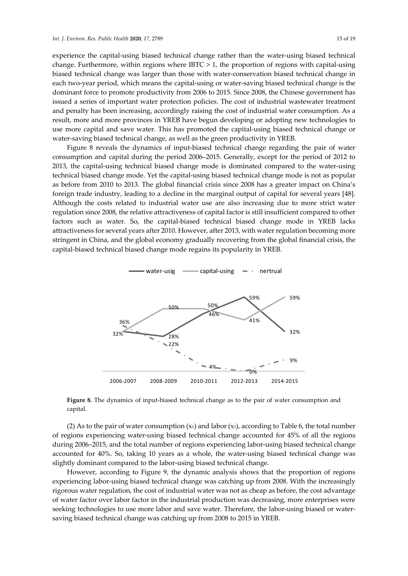experience the capital-using biased technical change rather than the water-using biased technical change. Furthermore, within regions where IBTC > 1, the proportion of regions with capital-using biased technical change was larger than those with water-conservation biased technical change in each two-year period, which means the capital-using or water-saving biased technical change is the dominant force to promote productivity from 2006 to 2015. Since 2008, the Chinese government has issued a series of important water protection policies. The cost of industrial wastewater treatment and penalty has been increasing, accordingly raising the cost of industrial water consumption. As a result, more and more provinces in YREB have begun developing or adopting new technologies to use more capital and save water. This has promoted the capital-using biased technical change or water-saving biased technical change, as well as the green productivity in YREB.

Figure 8 reveals the dynamics of input-biased technical change regarding the pair of water consumption and capital during the period 2006–2015. Generally, except for the period of 2012 to 2013, the capital-using technical biased change mode is dominated compared to the water-using technical biased change mode. Yet the capital-using biased technical change mode is not as popular as before from 2010 to 2013. The global financial crisis since 2008 has a greater impact on China's foreign trade industry, leading to a decline in the marginal output of capital for several years [48]. Although the costs related to industrial water use are also increasing due to more strict water regulation since 2008, the relative attractiveness of capital factor is still insufficient compared to other factors such as water. So, the capital-biased technical biased change mode in YREB lacks attractiveness for several years after 2010. However, after 2013, with water regulation becoming more stringent in China, and the global economy gradually recovering from the global financial crisis, the capital-biased technical biased change mode regains its popularity in YREB.



**Figure 8.** The dynamics of input-biased technical change as to the pair of water consumption and capital.

(2) As to the pair of water consumption  $(x_1)$  and labor  $(x_3)$ , according to Table 6, the total number of regions experiencing water-using biased technical change accounted for 45% of all the regions during 2006–2015, and the total number of regions experiencing labor-using biased technical change accounted for 40%. So, taking 10 years as a whole, the water-using biased technical change was slightly dominant compared to the labor-using biased technical change.

However, according to Figure 9, the dynamic analysis shows that the proportion of regions experiencing labor-using biased technical change was catching up from 2008. With the increasingly rigorous water regulation, the cost of industrial water was not as cheap as before, the cost advantage of water factor over labor factor in the industrial production was decreasing, more enterprises were seeking technologies to use more labor and save water. Therefore, the labor-using biased or watersaving biased technical change was catching up from 2008 to 2015 in YREB.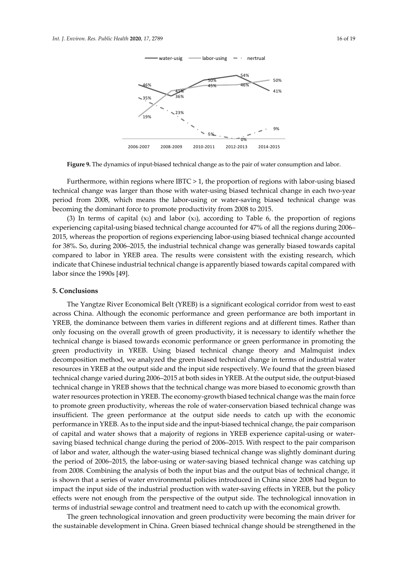

**Figure 9.** The dynamics of input-biased technical change as to the pair of water consumption and labor.

Furthermore, within regions where IBTC > 1, the proportion of regions with labor-using biased technical change was larger than those with water-using biased technical change in each two-year period from 2008, which means the labor-using or water-saving biased technical change was becoming the dominant force to promote productivity from 2008 to 2015.

(3) In terms of capital  $(x_2)$  and labor  $(x_3)$ , according to Table 6, the proportion of regions experiencing capital-using biased technical change accounted for 47% of all the regions during 2006– 2015, whereas the proportion of regions experiencing labor-using biased technical change accounted for 38%. So, during 2006–2015, the industrial technical change was generally biased towards capital compared to labor in YREB area. The results were consistent with the existing research, which indicate that Chinese industrial technical change is apparently biased towards capital compared with labor since the 1990s [49].

#### **5. Conclusions**

The Yangtze River Economical Belt (YREB) is a significant ecological corridor from west to east across China. Although the economic performance and green performance are both important in YREB, the dominance between them varies in different regions and at different times. Rather than only focusing on the overall growth of green productivity, it is necessary to identify whether the technical change is biased towards economic performance or green performance in promoting the green productivity in YREB. Using biased technical change theory and Malmquist index decomposition method, we analyzed the green biased technical change in terms of industrial water resources in YREB at the output side and the input side respectively. We found that the green biased technical change varied during 2006–2015 at both sides in YREB. At the output side, the output-biased technical change in YREB shows that the technical change was more biased to economic growth than water resources protection in YREB. The economy-growth biased technical change was the main force to promote green productivity, whereas the role of water-conservation biased technical change was insufficient. The green performance at the output side needs to catch up with the economic performance in YREB. As to the input side and the input-biased technical change, the pair comparison of capital and water shows that a majority of regions in YREB experience capital-using or watersaving biased technical change during the period of 2006–2015. With respect to the pair comparison of labor and water, although the water-using biased technical change was slightly dominant during the period of 2006–2015, the labor-using or water-saving biased technical change was catching up from 2008. Combining the analysis of both the input bias and the output bias of technical change, it is shown that a series of water environmental policies introduced in China since 2008 had begun to impact the input side of the industrial production with water-saving effects in YREB, but the policy effects were not enough from the perspective of the output side. The technological innovation in terms of industrial sewage control and treatment need to catch up with the economical growth.

The green technological innovation and green productivity were becoming the main driver for the sustainable development in China. Green biased technical change should be strengthened in the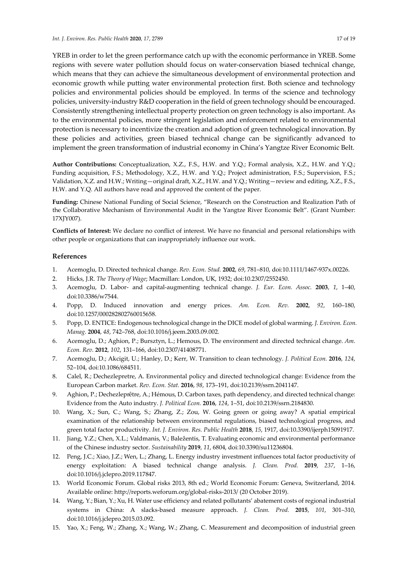YREB in order to let the green performance catch up with the economic performance in YREB. Some regions with severe water pollution should focus on water-conservation biased technical change, which means that they can achieve the simultaneous development of environmental protection and economic growth while putting water environmental protection first. Both science and technology policies and environmental policies should be employed. In terms of the science and technology policies, university-industry R&D cooperation in the field of green technology should be encouraged. Consistently strengthening intellectual property protection on green technology is also important. As to the environmental policies, more stringent legislation and enforcement related to environmental protection is necessary to incentivize the creation and adoption of green technological innovation. By these policies and activities, green biased technical change can be significantly advanced to implement the green transformation of industrial economy in China's Yangtze River Economic Belt.

**Author Contributions:** Conceptualization, X.Z., F.S., H.W. and Y.Q.; Formal analysis, X.Z., H.W. and Y.Q.; Funding acquisition, F.S.; Methodology, X.Z., H.W. and Y.Q.; Project administration, F.S.; Supervision, F.S.; Validation, X.Z. and H.W.; Writing—original draft, X.Z., H.W. and Y.Q.; Writing—review and editing, X.Z., F.S., H.W. and Y.Q. All authors have read and approved the content of the paper.

**Funding:** Chinese National Funding of Social Science, "Research on the Construction and Realization Path of the Collaborative Mechanism of Environmental Audit in the Yangtze River Economic Belt". (Grant Number: 17XJY007).

**Conflicts of Interest:** We declare no conflict of interest. We have no financial and personal relationships with other people or organizations that can inappropriately influence our work.

## **References**

- 1. Acemoglu, D. Directed technical change. *Rev. Econ. Stud.* **2002**, *69*, 781–810, doi:10.1111/1467-937x.00226.
- 2. Hicks, J.R. *The Theory of Wage*; Macmillan: London, UK, 1932; doi:10.2307/2552450.
- 3. Acemoglu, D. Labor- and capital-augmenting technical change. *J. Eur. Econ. Assoc.* **2003**, *1*, 1–40, doi:10.3386/w7544.
- 4. Popp, D. Induced innovation and energy prices. *Am. Econ. Rev.* **2002**, *92*, 160–180, doi:10.1257/000282802760015658.
- 5. Popp, D. ENTICE: Endogenous technological change in the DICE model of global warming. *J. Environ. Econ. Manag.* **2004**, *48*, 742–768, doi:10.1016/j.jeem.2003.09.002.
- 6. Acemoglu, D.; Aghion, P.; Bursztyn, L.; Hemous, D. The environment and directed technical change. *Am. Econ. Rev.* **2012**, *102*, 131–166, doi:10.2307/41408771.
- 7. Acemoglu, D.; Akcigit, U.; Hanley, D.; Kerr, W. Transition to clean technology. *J. Political Econ.* **2016**, *124*, 52–104, doi:10.1086/684511.
- 8. Calel, R.; Dechezlepretre, A. Environmental policy and directed technological change: Evidence from the European Carbon market. *Rev. Econ. Stat.* **2016**, *98*, 173–191, doi:10.2139/ssrn.2041147.
- 9. Aghion, P.; Dechezleprêtre, A.; Hémous, D. Carbon taxes, path dependency, and directed technical change: Evidence from the Auto industry. *J. Political Econ.* **2016**, *124*, 1–51, doi:10.2139/ssrn.2184830.
- 10. Wang, X.; Sun, C.; Wang, S.; Zhang, Z.; Zou, W. Going green or going away? A spatial empirical examination of the relationship between environmental regulations, biased technological progress, and green total factor productivity. *Int. J. Environ. Res. Public Health* **2018**, *15*, 1917, doi:10.3390/ijerph15091917.
- 11. Jiang, Y.Z.; Chen, X.L.; Valdmanis, V.; Baležentis, T. Evaluating economic and environmental performance of the Chinese industry sector. *Sustainability* **2019**, *11*, 6804, doi:10.3390/su11236804.
- 12. Peng, J.C.; Xiao, J.Z.; Wen, L.; Zhang, L. Energy industry investment influences total factor productivity of energy exploitation: A biased technical change analysis. *J. Clean. Prod.* **2019**, *237*, 1–16, doi:10.1016/j.jclepro.2019.117847.
- 13. World Economic Forum. Global risks 2013, 8th ed.; World Economic Forum: Geneva, Switzerland, 2014. Available online: http://reports.weforum.org/global-risks-2013/ (20 October 2019).
- 14. Wang, Y.; Bian, Y.; Xu, H. Water use efficiency and related pollutants' abatement costs of regional industrial systems in China: A slacks-based measure approach. *J. Clean. Prod.* **2015**, *101*, 301–310, doi:10.1016/j.jclepro.2015.03.092.
- 15. Yao, X.; Feng, W.; Zhang, X.; Wang, W.; Zhang, C. Measurement and decomposition of industrial green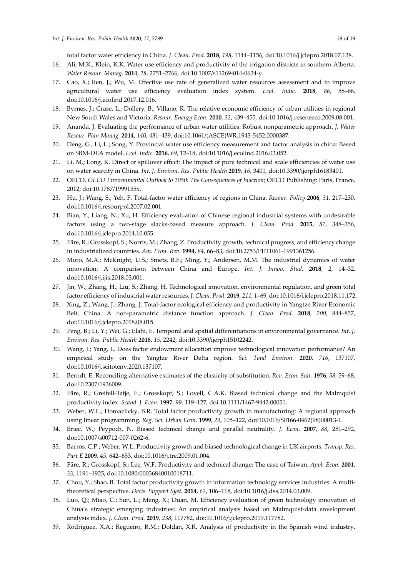total factor water efficiency in China. *J. Clean. Prod.* **2018**, *198*, 1144–1156, doi:10.1016/j.jclepro.2018.07.138.

- 16. Ali, M.K.; Klein, K.K. Water use efficiency and productivity of the irrigation districts in southern Alberta. *Water Resour. Manag.* **2014**, *28*, 2751–2766, doi:10.1007/s11269-014-0634-y.
- 17. Cao, X.; Ren, J.; Wu, M. Effective use rate of generalized water resources assessment and to improve agricultural water use efficiency evaluation index system. *Ecol. Indic.* **2018**, *86*, 58–66, doi:10.1016/j.ecolind.2017.12.016.
- 18. Byrnes, J.; Crase, L.; Dollery, B.; Villano, R. The relative economic efficiency of urban utilities in regional New South Wales and Victoria. *Resour. Energy Econ.* **2010**, *32*, 439–455, doi:10.1016/j.reseneeco.2009.08.001.
- 19. Ananda, J. Evaluating the performance of urban water utilities: Robust nonparametric approach. *J. Water Resour. Plan Manag.* **2014**, *140*, 431–439, doi:10.1061/(ASCE)WR.1943-5452.0000387.
- 20. Deng, G.; Li, L.; Song, Y. Provincial water use efficiency measurement and factor analysis in china: Based on SBM-DEA model. *Ecol. Indic.* **2016**, *69*, 12–18, doi:10.1016/j.ecolind.2016.03.052.
- 21. Li, M.; Long, K. Direct or spillover effect: The impact of pure technical and scale efficiencies of water use on water scarcity in China. *Int. J. Environ. Res. Public Health* **2019**, *16*, 3401, doi:10.3390/ijerph16183401.
- 22. OECD. *OECD Environmental Outlook to 2050: The Consequences of Inaction*; OECD Publishing: Paris, France, 2012; doi:10.1787/1999155x.
- 23. Hu, J.; Wang, S.; Yeh, F. Total-factor water efficiency of regions in China. *Resour. Policy* **2006**, *31*, 217–230, doi:10.1016/j.resourpol.2007.02.001.
- 24. Bian, Y.; Liang, N.; Xu, H. Efficiency evaluation of Chinese regional industrial systems with undesirable factors using a two-stage slacks-based measure approach. *J. Clean. Prod.* **2015**, *87*, 348–356, doi:10.1016/j.jclepro.2014.10.055.
- 25. Färe, R.; Grosskopf, S.; Norris, M.; Zhang, Z. Productivity growth, technical progress, and efficiency change in industrialized countries. *Am. Econ. Rev.* **1994**, *84*, 66–83, doi:10.2753/PET1061-1991361256.
- 26. Moro, M.A.; McKnight, U.S.; Smets, B.F.; Ming, Y.; Andersen, M.M. The industrial dynamics of water innovation: A comparison between China and Europe. *Int. J. Innov. Stud.* **2018**, *2*, 14–32, doi:10.1016/j.ijis.2018.03.001.
- 27. Jin, W.; Zhang, H.; Liu, S.; Zhang, H. Technological innovation, environmental regulation, and green total factor efficiency of industrial waterresources. *J. Clean. Prod.* **2019**, *211*, 1–69, doi:10.1016/j.jclepro.2018.11.172.
- 28. Xing, Z.; Wang, J.; Zhang, J. Total-factor ecological efficiency and productivity in Yangtze River Economic Belt, China: A non-parametric distance function approach. *J. Clean. Prod.* **2018**, *200*, 844–857, doi:10.1016/j.jclepro.2018.08.015.
- 29. Peng, B.; Li, Y.; Wei, G.; Elahi, E. Temporal and spatial differentiations in environmental governance. *Int. J. Environ. Res. Public Health* **2018**, *15*, 2242, doi:10.3390/ijerph15102242.
- 30. Wang, J.; Yang, L. Does factor endowment allocation improve technological innovation performance? An empirical study on the Yangtze River Delta region. *Sci. Total Environ.* **2020**, *716*, 137107, doi:10.1016/j.scitotenv.2020.137107.
- 31. Berndt, E. Reconciling alternative estimates of the elasticity of substitution. *Rev. Econ. Stat.* **1976**, *58*, 59–68, doi:10.2307/1936009.
- 32. Färe, R.; Greifell-Tatje, E.; Grosskopf, S.; Lovell, C.A.K. Biased technical change and the Malmquist productivity index. *Scand. J. Econ.* **1997**, 99, 119–127, doi:10.1111/1467-9442.00051.
- 33. Weber, W.L.; Domazlicky, B.R. Total factor productivity growth in manufacturing: A regional approach using linear programming. *Reg. Sci. Urban Econ.* **1999**, *29*, 105–122, doi:10.1016/S0166-0462(98)00013-1.
- 34. Briec, W.; Peypoch, N. Biased technical change and parallel neutrality. *J. Econ.* **2007**, *88*, 281–292, doi:10.1007/s00712-007-0262-6.
- 35. Barros, C.P.; Weber, W.L. Productivity growth and biased technological change in UK airports. *Transp. Res. Part E* **2009**, *45*, 642–653, doi:10.1016/j.tre.2009.01.004.
- 36. Färe, R.; Grosskopf, S.; Lee, W.F. Productivity and technical change: The case of Taiwan. *Appl. Econ.* **2001**, *33*, 1191–1925, doi:10.1080/00036840010018711.
- 37. Chou, Y.; Shao, B. Total factor productivity growth in information technology services industries: A multitheoretical perspective. *Decis. Support Syst.* **2014**, *62*, 106–118, doi:10.1016/j.dss.2014.03.009.
- 38. Luo, Q.; Miao, C.; Sun, L.; Meng, X.; Duan, M. Efficiency evaluation of green technology innovation of China's strategic emerging industries: An empirical analysis based on Malmquist-data envelopment analysis index*. J. Clean. Prod.* **2019**, *238*, 117782, doi:10.1016/j.jclepro.2019.117782.
- 39. Rodríguez, X.A.; Regueiro, R.M.; Doldan, X.R. Analysis of productivity in the Spanish wind industry.